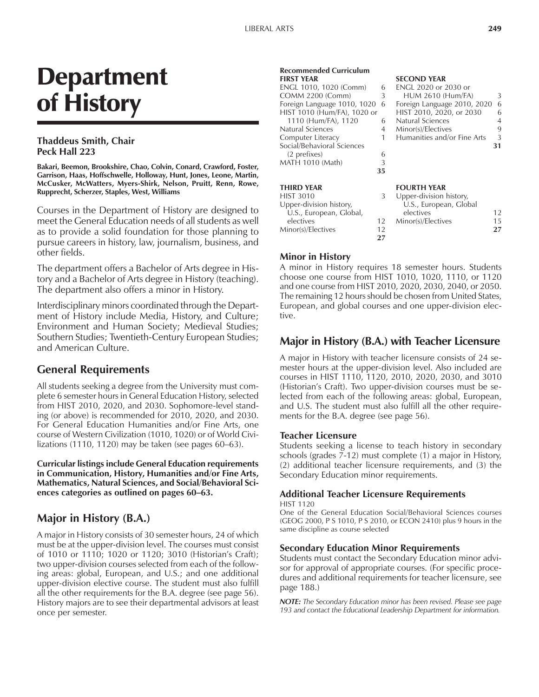# Department of History

#### **Thaddeus Smith, Chair Peck Hall 223**

**Bakari, Beemon, Brookshire, Chao, Colvin, Conard, Crawford, Foster, Garrison, Haas, Hoffschwelle, Holloway, Hunt, Jones, Leone, Martin, McCusker, McWatters, Myers-Shirk, Nelson, Pruitt, Renn, Rowe, Rupprecht, Scherzer, Staples, West, Williams**

Courses in the Department of History are designed to meet the General Education needs of all students as well as to provide a solid foundation for those planning to pursue careers in history, law, journalism, business, and other fields.

The department offers a Bachelor of Arts degree in History and a Bachelor of Arts degree in History (teaching). The department also offers a minor in History.

Interdisciplinary minors coordinated through the Department of History include Media, History, and Culture; Environment and Human Society; Medieval Studies; Southern Studies; Twentieth-Century European Studies; and American Culture.

# **General Requirements**

All students seeking a degree from the University must complete 6 semester hours in General Education History, selected from HIST 2010, 2020, and 2030. Sophomore-level standing (or above) is recommended for 2010, 2020, and 2030. For General Education Humanities and/or Fine Arts, one course of Western Civilization (1010, 1020) or of World Civilizations (1110, 1120) may be taken (see pages  $60-63$ ).

**Curricular listings include General Education requirements in Communication, History, Humanities and/or Fine Arts, Mathematics, Natural Sciences, and Social/Behavioral Sci**ences categories as outlined on pages 60–63.

# **Major in History (B.A.)**

A major in History consists of 30 semester hours, 24 of which must be at the upper-division level. The courses must consist of 1010 or 1110; 1020 or 1120; 3010 (Historianís Craft); two upper-division courses selected from each of the following areas: global, European, and U.S.; and one additional upper-division elective course. The student must also fulfill all the other requirements for the B.A. degree (see page 56). History majors are to see their departmental advisors at least once per semester.

#### **Recommended Curriculum FIRST YEAR SECOND YEAR**<br> **ENGL 1010, 1020 (Comm)** 6 **ENGL 2020 or 2030 or** ENGL 1010, 1020 (Comm) 6 ENGL 2020 or 2030 or<br>
COMM 2200 (Comm) 3 HUM 2610 (Hum/FA) COMM 2200 (Comm) 3 HUM 2610 (Hum/FA) 3<br>Foreign Language 1010, 1020 6 Foreign Language 2010, 2020 6 HIST 1010 (Hum/FA), 1020 or HIST 2010, 2020, or 2030 6 1110 (Hum/FA), 1120 6 Natural Sciences 4 Natural Sciences

Computer Literac Social/Behavioral (2 prefixes) MATH 1010 (Mat

#### **THIRD YEAR** HIST 3010

|          |    | Minor(s)/Electives          |    |
|----------|----|-----------------------------|----|
|          |    | Humanities and/or Fine Arts | 3  |
| Sciences |    |                             | 31 |
|          |    |                             |    |
| :h)      |    |                             |    |
|          | 35 |                             |    |
|          |    | <b>FOURTH YEAR</b>          |    |
|          | 3  | Upper-division history,     |    |
| storv.   |    | U.S., European, Global      |    |

Foreign Language 2010, 2020 6<br>HIST 2010, 2020, or 2030 6

|    | Upper-alvision history, |     |
|----|-------------------------|-----|
|    | U.S., European, Global  |     |
|    | electives               | 12  |
| 12 | Minor(s)/Electives      | 15. |
| 12 |                         | 27  |
| 27 |                         |     |
|    |                         |     |

### **Minor in History**

A minor in History requires 18 semester hours. Students choose one course from HIST 1010, 1020, 1110, or 1120 and one course from HIST 2010, 2020, 2030, 2040, or 2050. The remaining 12 hours should be chosen from United States, European, and global courses and one upper-division elective.

# **Major in History (B.A.) with Teacher Licensure**

A major in History with teacher licensure consists of 24 semester hours at the upper-division level. Also included are courses in HIST 1110, 1120, 2010, 2020, 2030, and 3010 (Historian's Craft). Two upper-division courses must be selected from each of the following areas: global, European, and U.S. The student must also fulfill all the other requirements for the B.A. degree (see page 56).

#### **Teacher Licensure**

Students seeking a license to teach history in secondary schools (grades  $\bar{7}$ -12) must complete (1) a major in History, (2) additional teacher licensure requirements, and (3) the Secondary Education minor requirements.

#### **Additional Teacher Licensure Requirements** HIST 1120

One of the General Education Social/Behavioral Sciences courses (GEOG 2000, P S 1010, P S 2010, or ECON 2410) plus 9 hours in the same discipline as course selected

#### **Secondary Education Minor Requirements**

Students must contact the Secondary Education minor advisor for approval of appropriate courses. (For specific procedures and additional requirements for teacher licensure, see page 188.)

*NOTE: The Secondary Education minor has been revised. Please see page 193 and contact the Educational Leadership Department for information.*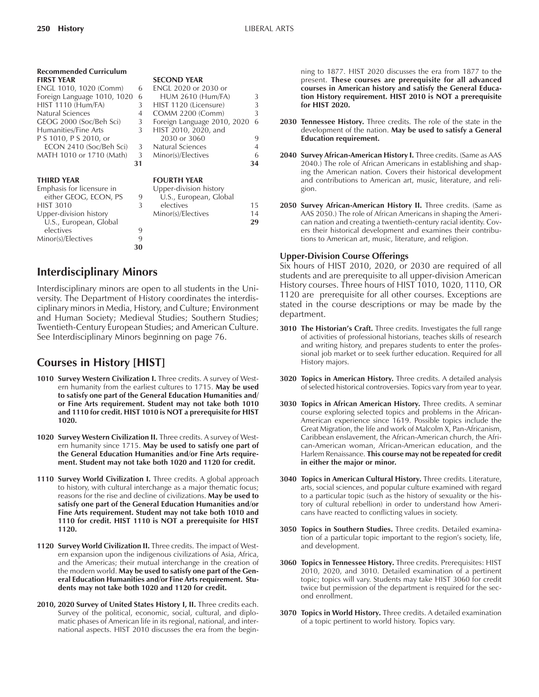| <b>Recommended Curriculum</b><br><b>FIRST YEAR</b> |    | <b>SECOND YEAR</b>          |    |
|----------------------------------------------------|----|-----------------------------|----|
| ENGL 1010, 1020 (Comm)                             | 6  | <b>ENGL 2020 or 2030 or</b> |    |
| Foreign Language 1010, 1020                        | 6  | <b>HUM 2610 (Hum/FA)</b>    | 3  |
| HIST 1110 (Hum/FA)                                 | 3  | HIST 1120 (Licensure)       | 3  |
| Natural Sciences                                   | 4  | COMM 2200 (Comm)            | 3  |
| GEOG 2000 (Soc/Beh Sci)                            | 3  | Foreign Language 2010, 2020 | 6  |
| Humanities/Fine Arts                               | 3  | HIST 2010, 2020, and        |    |
| P S 1010, P S 2010, or                             |    | 2030 or 3060                | 9  |
| ECON 2410 (Soc/Beh Sci)                            | 3  | Natural Sciences            | 4  |
| MATH 1010 or 1710 (Math)                           | 3  | Minor(s)/Electives          | 6  |
|                                                    | 31 |                             | 34 |
| <b>THIRD YEAR</b>                                  |    | <b>FOURTH YEAR</b>          |    |
| Emphasis for licensure in                          |    | Upper-division history      |    |
| either GEOG, ECON, PS                              | 9  | U.S., European, Global      |    |
| <b>HIST 3010</b>                                   | 3  | electives                   | 15 |
| Upper-division history                             |    | Minor(s)/Electives          | 14 |
| U.S., European, Global                             |    |                             | 29 |
| electives                                          | 9  |                             |    |
| Minor(s)/Electives                                 | 9  |                             |    |
|                                                    | 30 |                             |    |
|                                                    |    |                             |    |

# **Interdisciplinary Minors**

Interdisciplinary minors are open to all students in the University. The Department of History coordinates the interdisciplinary minors in Media, History, and Culture; Environment and Human Society; Medieval Studies; Southern Studies; Twentieth-Century European Studies; and American Culture. See Interdisciplinary Minors beginning on page 76.

# **Courses in History [HIST]**

- 1010 Survey Western Civilization I. Three credits. A survey of Western humanity from the earliest cultures to 1715. **May be used to satisfy one part of the General Education Humanities and/ or Fine Arts requirement. Student may not take both 1010 and 1110 for credit. HIST 1010 is NOT a prerequisite for HIST 1020.**
- **1020 Survey Western Civilization II.** Three credits. A survey of Western humanity since 1715. **May be used to satisfy one part of the General Education Humanities and/or Fine Arts requirement. Student may not take both 1020 and 1120 for credit.**
- 1110 **Survey World Civilization I.** Three credits. A global approach to history, with cultural interchange as a major thematic focus; reasons for the rise and decline of civilizations. **May be used to satisfy one part of the General Education Humanities and/or Fine Arts requirement. Student may not take both 1010 and 1110 for credit. HIST 1110 is NOT a prerequisite for HIST 1120.**
- **1120 Survey World Civilization II.** Three credits. The impact of Western expansion upon the indigenous civilizations of Asia, Africa, and the Americas; their mutual interchange in the creation of the modern world. **May be used to satisfy one part of the General Education Humanities and/or Fine Arts requirement. Students may not take both 1020 and 1120 for credit.**
- 2010, 2020 Survey of United States History I, II. Three credits each. Survey of the political, economic, social, cultural, and diplomatic phases of American life in its regional, national, and international aspects. HIST 2010 discusses the era from the begin-

ning to 1877. HIST 2020 discusses the era from 1877 to the present. **These courses are prerequisite for all advanced courses in American history and satisfy the General Education History requirement. HIST 2010 is NOT a prerequisite for HIST 2020.**

- **2030 Tennessee History.** Three credits. The role of the state in the development of the nation. **May be used to satisfy a General Education requirement.**
- 2040 Survey African-American History I. Three credits. (Same as AAS 2040.) The role of African Americans in establishing and shaping the American nation. Covers their historical development and contributions to American art, music, literature, and religion.
- 2050 Survey African-American History II. Three credits. (Same as AAS 2050.) The role of African Americans in shaping the American nation and creating a twentieth-century racial identity. Covers their historical development and examines their contributions to American art, music, literature, and religion.

#### **Upper-Division Course Offerings**

Six hours of HIST 2010, 2020, or 2030 are required of all students and are prerequisite to all upper-division American History courses. Three hours of HIST 1010, 1020, 1110, OR 1120 are prerequisite for all other courses. Exceptions are stated in the course descriptions or may be made by the department.

- 3010 The Historian's Craft. Three credits. Investigates the full range of activities of professional historians, teaches skills of research and writing history, and prepares students to enter the professional job market or to seek further education. Required for all History majors.
- **3020 Topics in American History.** Three credits. A detailed analysis of selected historical controversies. Topics vary from year to year.
- **3030 Topics in African American History.** Three credits. A seminar course exploring selected topics and problems in the African-American experience since 1619. Possible topics include the Great Migration, the life and work of Malcolm X, Pan-Africanism, Caribbean enslavement, the African-American church, the African-American woman, African-American education, and the Harlem Renaissance. **This course may not be repeated for credit in either the major or minor.**
- **3040 Topics in American Cultural History.** Three credits. Literature, arts, social sciences, and popular culture examined with regard to a particular topic (such as the history of sexuality or the history of cultural rebellion) in order to understand how Americans have reacted to conflicting values in society.
- **3050 Topics in Southern Studies.** Three credits. Detailed examination of a particular topic important to the region's society, life, and development.
- **3060 Topics in Tennessee History.** Three credits. Prerequisites: HIST 2010, 2020, and 3010. Detailed examination of a pertinent topic; topics will vary. Students may take HIST 3060 for credit twice but permission of the department is required for the second enrollment.
- **3070 Topics in World History.** Three credits. A detailed examination of a topic pertinent to world history. Topics vary.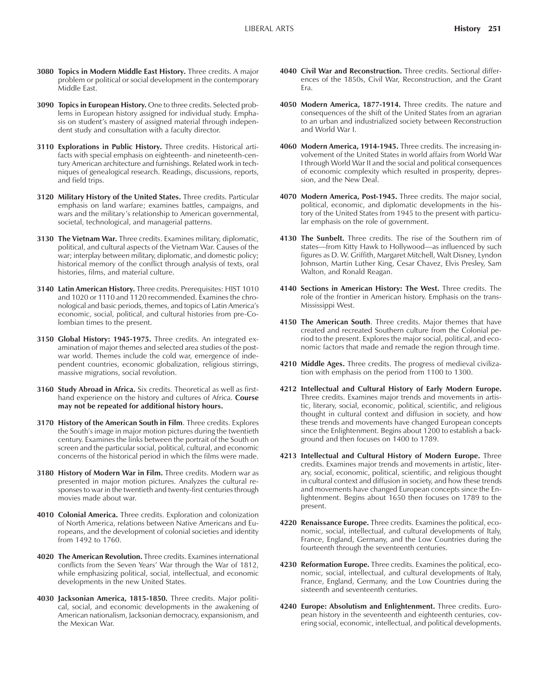- **3080 Topics in Modern Middle East History.** Three credits. A major problem or political or social development in the contemporary Middle East.
- **3090 Topics in European History.** One to three credits. Selected problems in European history assigned for individual study. Emphasis on student's mastery of assigned material through independent study and consultation with a faculty director.
- **3110 Explorations in Public History.** Three credits. Historical artifacts with special emphasis on eighteenth- and nineteenth-century American architecture and furnishings. Related work in techniques of genealogical research. Readings, discussions, reports, and field trips.
- **3120 Military History of the United States.** Three credits. Particular emphasis on land warfare; examines battles, campaigns, and wars and the military's relationship to American governmental, societal, technological, and managerial patterns.
- **3130 The Vietnam War.** Three credits. Examines military, diplomatic, political, and cultural aspects of the Vietnam War. Causes of the war; interplay between military, diplomatic, and domestic policy; historical memory of the conflict through analysis of texts, oral histories, films, and material culture.
- **3140 Latin American History.** Three credits. Prerequisites: HIST 1010 and 1020 or 1110 and 1120 recommended. Examines the chronological and basic periods, themes, and topics of Latin Americaís economic, social, political, and cultural histories from pre-Colombian times to the present.
- **3150 Global History: 1945-1975.** Three credits. An integrated examination of major themes and selected area studies of the postwar world. Themes include the cold war, emergence of independent countries, economic globalization, religious stirrings, massive migrations, social revolution.
- **3160 Study Abroad in Africa.** Six credits. Theoretical as well as firsthand experience on the history and cultures of Africa. **Course may not be repeated for additional history hours.**
- **3170 History of the American South in Film**. Three credits. Explores the South's image in major motion pictures during the twentieth century. Examines the links between the portrait of the South on screen and the particular social, political, cultural, and economic concerns of the historical period in which the films were made.
- **3180 History of Modern War in Film.** Three credits. Modern war as presented in major motion pictures. Analyzes the cultural responses to war in the twentieth and twenty-first centuries through movies made about war.
- **4010 Colonial America.** Three credits. Exploration and colonization of North America, relations between Native Americans and Europeans, and the development of colonial societies and identity from 1492 to 1760.
- **4020 The American Revolution.** Three credits. Examines international conflicts from the Seven Years' War through the War of 1812, while emphasizing political, social, intellectual, and economic developments in the new United States.
- **4030 Jacksonian America, 1815-1850.** Three credits. Major political, social, and economic developments in the awakening of American nationalism, Jacksonian democracy, expansionism, and the Mexican War.
- **4040 Civil War and Reconstruction.** Three credits. Sectional differences of the 1850s, Civil War, Reconstruction, and the Grant Era.
- **4050 Modern America, 1877-1914.** Three credits. The nature and consequences of the shift of the United States from an agrarian to an urban and industrialized society between Reconstruction and World War I.
- **4060 Modern America, 1914-1945.** Three credits. The increasing involvement of the United States in world affairs from World War I through World War II and the social and political consequences of economic complexity which resulted in prosperity, depression, and the New Deal.
- **4070 Modern America, Post-1945.** Three credits. The major social, political, economic, and diplomatic developments in the history of the United States from 1945 to the present with particular emphasis on the role of government.
- **4130 The Sunbelt.** Three credits. The rise of the Southern rim of states-from Kitty Hawk to Hollywood-as influenced by such figures as D. W. Griffith, Margaret Mitchell, Walt Disney, Lyndon Johnson, Martin Luther King, Cesar Chavez, Elvis Presley, Sam Walton, and Ronald Reagan.
- **4140 Sections in American History: The West.** Three credits. The role of the frontier in American history. Emphasis on the trans-Mississippi West.
- **4150 The American South**. Three credits. Major themes that have created and recreated Southern culture from the Colonial period to the present. Explores the major social, political, and economic factors that made and remade the region through time.
- **4210 Middle Ages.** Three credits. The progress of medieval civilization with emphasis on the period from 1100 to 1300.
- **4212 Intellectual and Cultural History of Early Modern Europe.** Three credits. Examines major trends and movements in artistic, literary, social, economic, political, scientific, and religious thought in cultural context and diffusion in society, and how these trends and movements have changed European concepts since the Enlightenment. Begins about 1200 to establish a background and then focuses on 1400 to 1789.
- **4213 Intellectual and Cultural History of Modern Europe.** Three credits. Examines major trends and movements in artistic, literary, social, economic, political, scientific, and religious thought in cultural context and diffusion in society, and how these trends and movements have changed European concepts since the Enlightenment. Begins about 1650 then focuses on 1789 to the present.
- **4220 Renaissance Europe.** Three credits. Examines the political, economic, social, intellectual, and cultural developments of Italy, France, England, Germany, and the Low Countries during the fourteenth through the seventeenth centuries.
- **4230 Reformation Europe.** Three credits. Examines the political, economic, social, intellectual, and cultural developments of Italy, France, England, Germany, and the Low Countries during the sixteenth and seventeenth centuries.
- **4240 Europe: Absolutism and Enlightenment.** Three credits. European history in the seventeenth and eighteenth centuries, covering social, economic, intellectual, and political developments.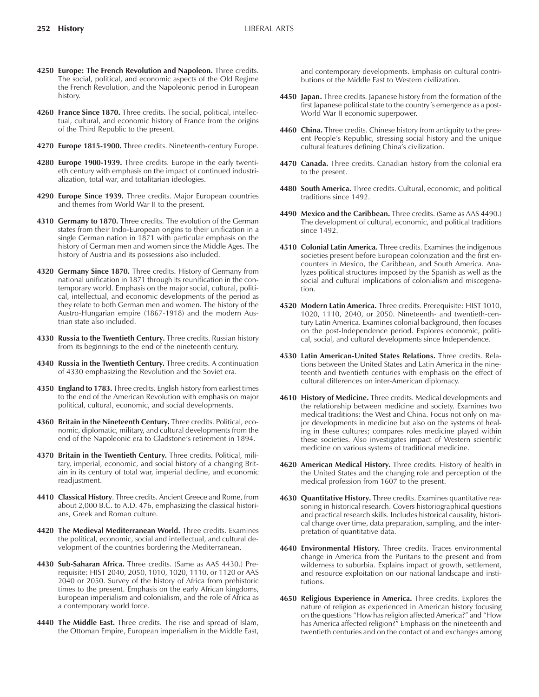- **4250 Europe: The French Revolution and Napoleon.** Three credits. The social, political, and economic aspects of the Old Regime the French Revolution, and the Napoleonic period in European history.
- **4260 France Since 1870.** Three credits. The social, political, intellectual, cultural, and economic history of France from the origins of the Third Republic to the present.
- **4270 Europe 1815-1900.** Three credits. Nineteenth-century Europe.
- **4280 Europe 1900-1939.** Three credits. Europe in the early twentieth century with emphasis on the impact of continued industrialization, total war, and totalitarian ideologies.
- **4290 Europe Since 1939.** Three credits. Major European countries and themes from World War II to the present.
- **4310 Germany to 1870.** Three credits. The evolution of the German states from their Indo-European origins to their unification in a single German nation in 1871 with particular emphasis on the history of German men and women since the Middle Ages. The history of Austria and its possessions also included.
- **4320 Germany Since 1870.** Three credits. History of Germany from national unification in 1871 through its reunification in the contemporary world. Emphasis on the major social, cultural, political, intellectual, and economic developments of the period as they relate to both German men and women. The history of the Austro-Hungarian empire (1867-1918) and the modern Austrian state also included.
- **4330 Russia to the Twentieth Century.** Three credits. Russian history from its beginnings to the end of the nineteenth century.
- **4340 Russia in the Twentieth Century.** Three credits. A continuation of 4330 emphasizing the Revolution and the Soviet era.
- **4350 England to 1783.** Three credits. English history from earliest times to the end of the American Revolution with emphasis on major political, cultural, economic, and social developments.
- **4360 Britain in the Nineteenth Century.** Three credits. Political, economic, diplomatic, military, and cultural developments from the end of the Napoleonic era to Gladstone's retirement in 1894.
- **4370 Britain in the Twentieth Century.** Three credits. Political, military, imperial, economic, and social history of a changing Britain in its century of total war, imperial decline, and economic readjustment.
- **4410 Classical History**. Three credits. Ancient Greece and Rome, from about 2,000 B.C. to A.D. 476, emphasizing the classical historians, Greek and Roman culture.
- **4420 The Medieval Mediterranean World.** Three credits. Examines the political, economic, social and intellectual, and cultural development of the countries bordering the Mediterranean.
- **4430 Sub-Saharan Africa.** Three credits. (Same as AAS 4430.) Prerequisite: HIST 2040, 2050, 1010, 1020, 1110, or 1120 or AAS 2040 or 2050. Survey of the history of Africa from prehistoric times to the present. Emphasis on the early African kingdoms, European imperialism and colonialism, and the role of Africa as a contemporary world force.
- **4440 The Middle East.** Three credits. The rise and spread of Islam, the Ottoman Empire, European imperialism in the Middle East,

and contemporary developments. Emphasis on cultural contributions of the Middle East to Western civilization.

- **4450 Japan.** Three credits. Japanese history from the formation of the first Japanese political state to the country's emergence as a post-World War II economic superpower.
- **4460 China.** Three credits. Chinese history from antiquity to the present People's Republic, stressing social history and the unique cultural features defining China's civilization.
- **4470 Canada.** Three credits. Canadian history from the colonial era to the present.
- **4480 South America.** Three credits. Cultural, economic, and political traditions since 1492.
- **4490 Mexico and the Caribbean.** Three credits. (Same as AAS 4490.) The development of cultural, economic, and political traditions since 1492.
- **4510 Colonial Latin America.** Three credits. Examines the indigenous societies present before European colonization and the first encounters in Mexico, the Caribbean, and South America. Analyzes political structures imposed by the Spanish as well as the social and cultural implications of colonialism and miscegenation.
- **4520 Modern Latin America.** Three credits. Prerequisite: HIST 1010, 1020, 1110, 2040, or 2050. Nineteenth- and twentieth-century Latin America. Examines colonial background, then focuses on the post-Independence period. Explores economic, political, social, and cultural developments since Independence.
- **4530 Latin American-United States Relations.** Three credits. Relations between the United States and Latin America in the nineteenth and twentieth centuries with emphasis on the effect of cultural differences on inter-American diplomacy.
- **4610 History of Medicine.** Three credits. Medical developments and the relationship between medicine and society. Examines two medical traditions: the West and China. Focus not only on major developments in medicine but also on the systems of healing in these cultures; compares roles medicine played within these societies. Also investigates impact of Western scientific medicine on various systems of traditional medicine.
- **4620 American Medical History.** Three credits. History of health in the United States and the changing role and perception of the medical profession from 1607 to the present.
- **4630 Quantitative History.** Three credits. Examines quantitative reasoning in historical research. Covers historiographical questions and practical research skills. Includes historical causality, historical change over time, data preparation, sampling, and the interpretation of quantitative data.
- **4640 Environmental History.** Three credits. Traces environmental change in America from the Puritans to the present and from wilderness to suburbia. Explains impact of growth, settlement, and resource exploitation on our national landscape and institutions.
- **4650 Religious Experience in America.** Three credits. Explores the nature of religion as experienced in American history focusing on the questions "How has religion affected America?" and "How has America affected religion?" Emphasis on the nineteenth and twentieth centuries and on the contact of and exchanges among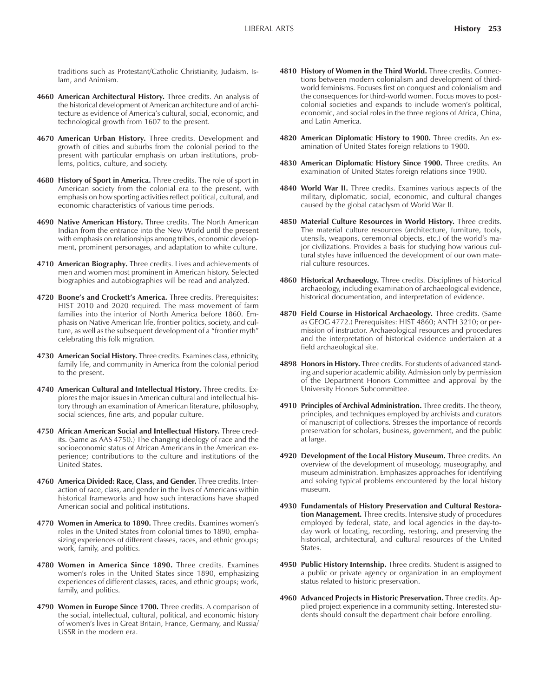traditions such as Protestant/Catholic Christianity, Judaism, Islam, and Animism.

- **4660 American Architectural History.** Three credits. An analysis of the historical development of American architecture and of architecture as evidence of America's cultural, social, economic, and technological growth from 1607 to the present.
- **4670 American Urban History.** Three credits. Development and growth of cities and suburbs from the colonial period to the present with particular emphasis on urban institutions, problems, politics, culture, and society.
- **4680 History of Sport in America.** Three credits. The role of sport in American society from the colonial era to the present, with emphasis on how sporting activities reflect political, cultural, and economic characteristics of various time periods.
- **4690 Native American History.** Three credits. The North American Indian from the entrance into the New World until the present with emphasis on relationships among tribes, economic development, prominent personages, and adaptation to white culture.
- **4710 American Biography.** Three credits. Lives and achievements of men and women most prominent in American history. Selected biographies and autobiographies will be read and analyzed.
- 4720 Boone's and Crockett's America. Three credits. Prerequisites: HIST 2010 and 2020 required. The mass movement of farm families into the interior of North America before 1860. Emphasis on Native American life, frontier politics, society, and culture, as well as the subsequent development of a "frontier myth" celebrating this folk migration.
- **4730 American Social History.** Three credits. Examines class, ethnicity, family life, and community in America from the colonial period to the present.
- **4740 American Cultural and Intellectual History.** Three credits. Explores the major issues in American cultural and intellectual history through an examination of American literature, philosophy, social sciences, fine arts, and popular culture.
- **4750 African American Social and Intellectual History.** Three credits. (Same as AAS 4750.) The changing ideology of race and the socioeconomic status of African Americans in the American experience; contributions to the culture and institutions of the United States.
- **4760 America Divided: Race, Class, and Gender.** Three credits. Interaction of race, class, and gender in the lives of Americans within historical frameworks and how such interactions have shaped American social and political institutions.
- **4770 Women in America to 1890.** Three credits. Examines womenís roles in the United States from colonial times to 1890, emphasizing experiences of different classes, races, and ethnic groups; work, family, and politics.
- **4780 Women in America Since 1890.** Three credits. Examines women's roles in the United States since 1890, emphasizing experiences of different classes, races, and ethnic groups; work, family, and politics.
- **4790 Women in Europe Since 1700.** Three credits. A comparison of the social, intellectual, cultural, political, and economic history of womenís lives in Great Britain, France, Germany, and Russia/ USSR in the modern era.
- **4810 History of Women in the Third World.** Three credits. Connections between modern colonialism and development of thirdworld feminisms. Focuses first on conquest and colonialism and the consequences for third-world women. Focus moves to postcolonial societies and expands to include women's political, economic, and social roles in the three regions of Africa, China, and Latin America.
- **4820 American Diplomatic History to 1900.** Three credits. An examination of United States foreign relations to 1900.
- **4830 American Diplomatic History Since 1900.** Three credits. An examination of United States foreign relations since 1900.
- **4840 World War II.** Three credits. Examines various aspects of the military, diplomatic, social, economic, and cultural changes caused by the global cataclysm of World War II.
- **4850 Material Culture Resources in World History.** Three credits. The material culture resources (architecture, furniture, tools, utensils, weapons, ceremonial objects, etc.) of the world's major civilizations. Provides a basis for studying how various cultural styles have influenced the development of our own material culture resources.
- **4860 Historical Archaeology.** Three credits. Disciplines of historical archaeology, including examination of archaeological evidence, historical documentation, and interpretation of evidence.
- **4870 Field Course in Historical Archaeology.** Three credits. (Same as GEOG 4772.) Prerequisites: HIST 4860; ANTH 3210; or permission of instructor. Archaeological resources and procedures and the interpretation of historical evidence undertaken at a field archaeological site.
- **4898 Honors in History.** Three credits. For students of advanced standing and superior academic ability. Admission only by permission of the Department Honors Committee and approval by the University Honors Subcommittee.
- **4910 Principles of Archival Administration.** Three credits. The theory, principles, and techniques employed by archivists and curators of manuscript of collections. Stresses the importance of records preservation for scholars, business, government, and the public at large.
- **4920 Development of the Local History Museum.** Three credits. An overview of the development of museology, museography, and museum administration. Emphasizes approaches for identifying and solving typical problems encountered by the local history museum.
- **4930 Fundamentals of History Preservation and Cultural Restoration Management.** Three credits. Intensive study of procedures employed by federal, state, and local agencies in the day-today work of locating, recording, restoring, and preserving the historical, architectural, and cultural resources of the United States.
- **4950 Public History Internship.** Three credits. Student is assigned to a public or private agency or organization in an employment status related to historic preservation.
- **4960 Advanced Projects in Historic Preservation.** Three credits. Applied project experience in a community setting. Interested students should consult the department chair before enrolling.